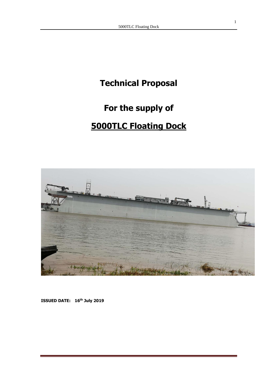# **Technical Proposal**

# **For the supply of**

# **5000TLC Floating Dock**



**ISSUED DATE: 16th July 2019**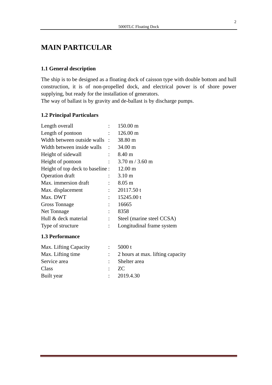# **MAIN PARTICULAR**

### **1.1 General description**

The ship is to be designed as a floating dock of caisson type with double bottom and hull construction, it is of non-propelled dock, and electrical power is of shore power supplying, but ready for the installation of generators.

The way of ballast is by gravity and de-ballast is by discharge pumps.

### **1.2 Principal Particulars**

| Length overall                   |                             | $150.00 \text{ m}$                |
|----------------------------------|-----------------------------|-----------------------------------|
| Length of pontoon                |                             | $126.00 \text{ m}$                |
| Width between outside walls :    |                             | 38.80 m                           |
| Width between inside walls       |                             | 34.00 m                           |
| Height of sidewall               |                             | 8.40 m                            |
| Height of pontoon                | $\ddot{\phantom{a}}$        | $3.70 \text{ m} / 3.60 \text{ m}$ |
| Height of top deck to baseline : |                             | $12.00 \text{ m}$                 |
| Operation draft                  | ÷                           | 3.10 <sub>m</sub>                 |
| Max. immersion draft             | ÷                           | $8.05 \text{ m}$                  |
| Max. displacement                | $\ddot{\phantom{a}}$        | 20117.50 t                        |
| Max. DWT                         | $\mathcal{L}^{\mathcal{L}}$ | 15245.00 t                        |
| <b>Gross Tonnage</b>             | $\ddot{\cdot}$              | 16665                             |
| Net Tonnage                      |                             | 8358                              |
| Hull & deck material             | $\ddot{\phantom{a}}$        | Steel (marine steel CCSA)         |
| Type of structure                | $\ddot{\cdot}$              | Longitudinal frame system         |
|                                  |                             |                                   |

#### **1.3 Performance**

| Max. Lifting Capacity | 5000 $t$                                      |
|-----------------------|-----------------------------------------------|
| Max. Lifting time     | $\therefore$ 2 hours at max. lifting capacity |
| Service area          | : Shelter area                                |
| Class                 | $Z_{\rm C}$                                   |
| Built year            | $\therefore$ 2019.4.30                        |